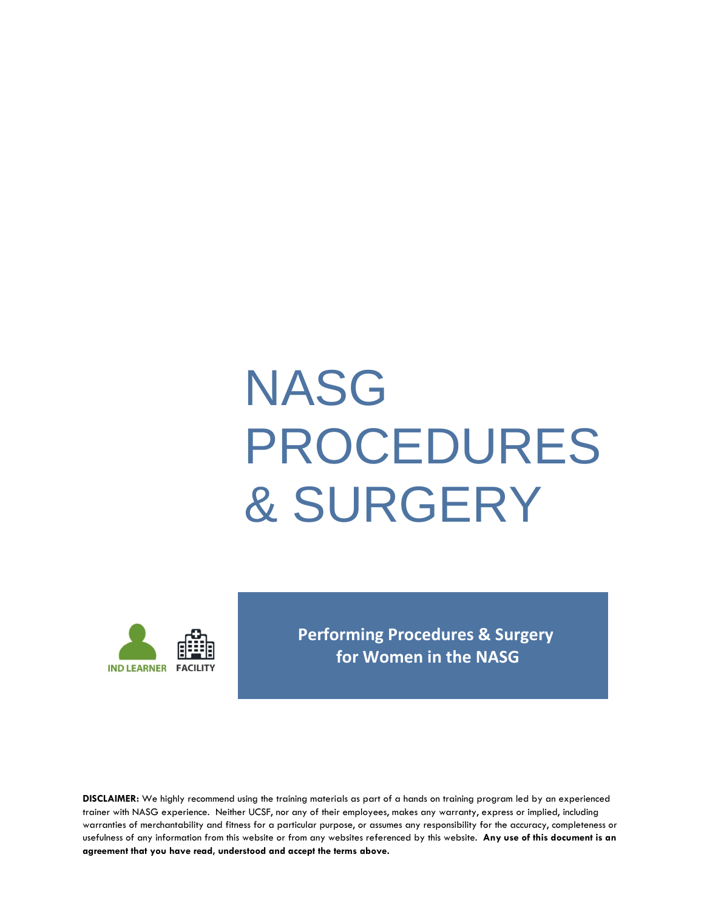# NASG PROCEDURES & SURGERY



**Performing Procedures & Surgery for Women in the NASG** 

**DISCLAIMER:** We highly recommend using the training materials as part of a hands on training program led by an experienced trainer with NASG experience. Neither UCSF, nor any of their employees, makes any warranty, express or implied, including warranties of merchantability and fitness for a particular purpose, or assumes any responsibility for the accuracy, completeness or usefulness of any information from this website or from any websites referenced by this website. **Any use of this document is an agreement that you have read, understood and accept the terms above.**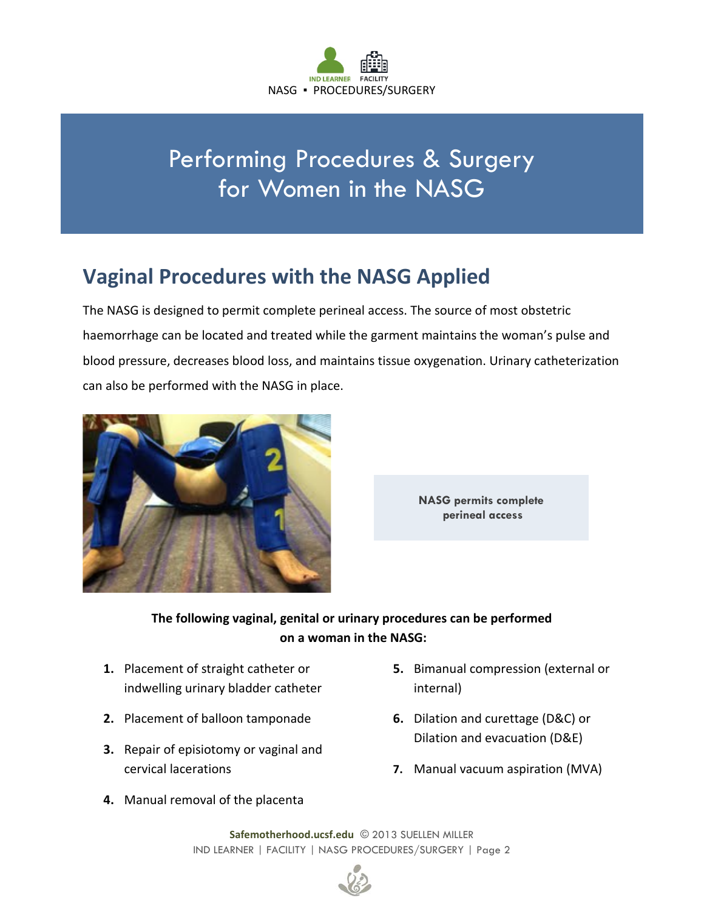

# Performing Procedures & Surgery for Women in the NASG

### **Vaginal Procedures with the NASG Applied**

The NASG is designed to permit complete perineal access. The source of most obstetric haemorrhage can be located and treated while the garment maintains the woman's pulse and blood pressure, decreases blood loss, and maintains tissue oxygenation. Urinary catheterization can also be performed with the NASG in place.





#### **The following vaginal, genital or urinary procedures can be performed on a woman in the NASG:**

- **1.** Placement of straight catheter or indwelling urinary bladder catheter
- **2.** Placement of balloon tamponade
- **3.** Repair of episiotomy or vaginal and cervical lacerations
- **5.** Bimanual compression (external or internal)
- **6.** Dilation and curettage (D&C) or Dilation and evacuation (D&E)
- **7.** Manual vacuum aspiration (MVA)
- **4.** Manual removal of the placenta

**Safemotherhood.ucsf.edu** © 2013 SUELLEN MILLER IND LEARNER | FACILITY | NASG PROCEDURES/SURGERY | Page 2

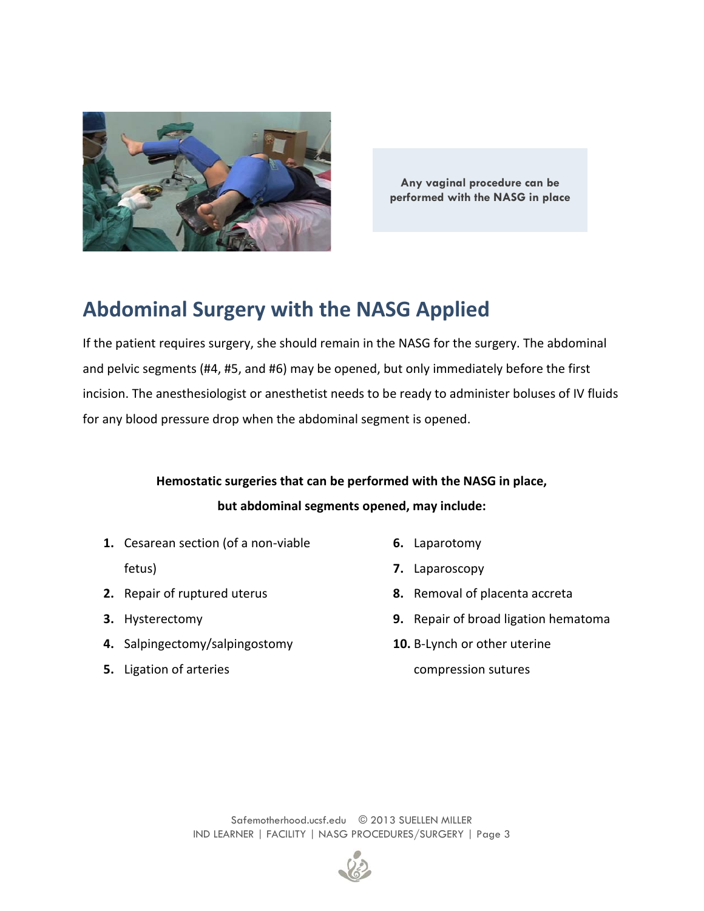

**Any vaginal procedure can be performed with the NASG in place**

### **Abdominal Surgery with the NASG Applied**

If the patient requires surgery, she should remain in the NASG for the surgery. The abdominal and pelvic segments (#4, #5, and #6) may be opened, but only immediately before the first incision. The anesthesiologist or anesthetist needs to be ready to administer boluses of IV fluids for any blood pressure drop when the abdominal segment is opened.

#### **Hemostatic surgeries that can be performed with the NASG in place, but abdominal segments opened, may include:**

- **1.** Cesarean section (of a non-viable
	- fetus)
- **2.** Repair of ruptured uterus
- **3.** Hysterectomy
- **4.** Salpingectomy/salpingostomy
- **5.** Ligation of arteries
- **6.** Laparotomy
- **7.** Laparoscopy
- **8.** Removal of placenta accreta
- **9.** Repair of broad ligation hematoma
- **10.** B-Lynch or other uterine compression sutures

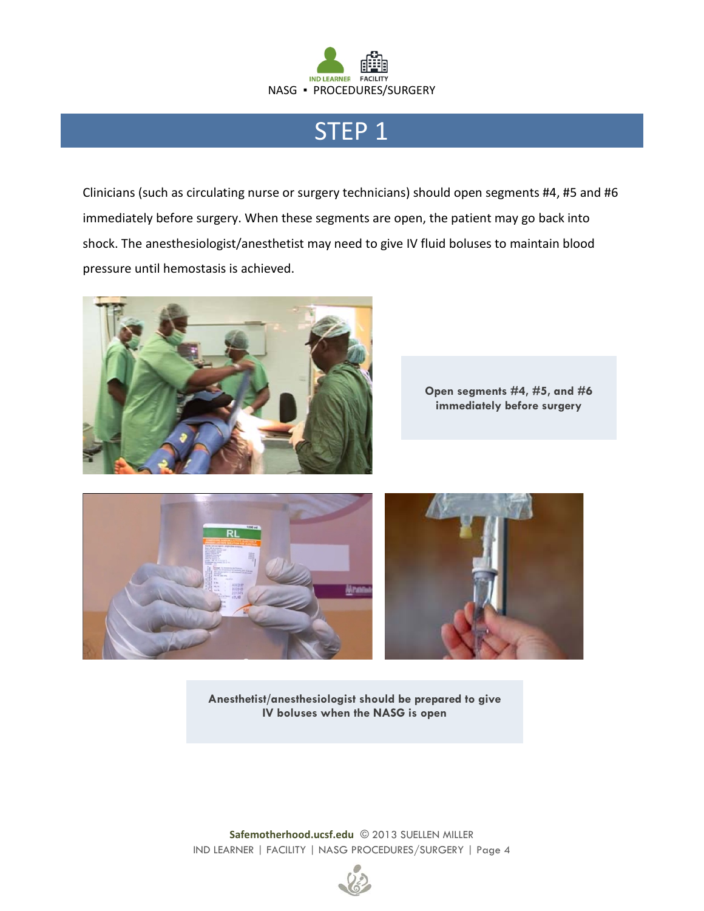

### STEP 1

Clinicians (such as circulating nurse or surgery technicians) should open segments #4, #5 and #6 immediately before surgery. When these segments are open, the patient may go back into shock. The anesthesiologist/anesthetist may need to give IV fluid boluses to maintain blood pressure until hemostasis is achieved.



**Open segments #4, #5, and #6 immediately before surgery**



**Anesthetist/anesthesiologist should be prepared to give IV boluses when the NASG is open**

**Safemotherhood.ucsf.edu** © 2013 SUELLEN MILLER IND LEARNER | FACILITY | NASG PROCEDURES/SURGERY | Page 4

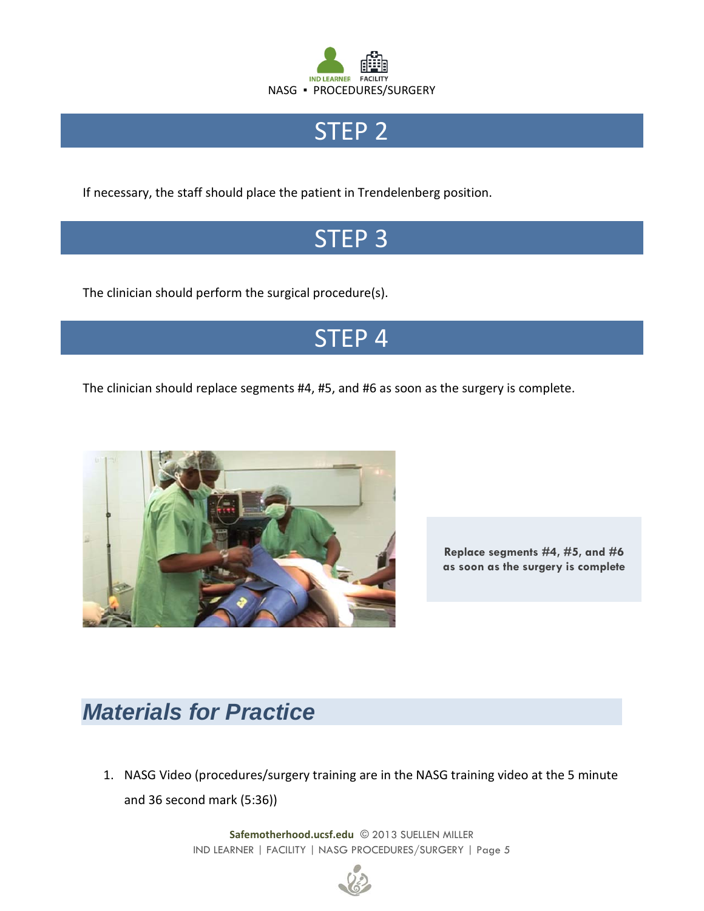

# STEP<sub>2</sub>

If necessary, the staff should place the patient in Trendelenberg position.

# STEP 3

The clinician should perform the surgical procedure(s).

# STEP 4

The clinician should replace segments #4, #5, and #6 as soon as the surgery is complete.



**Replace segments #4, #5, and #6 as soon as the surgery is complete**

# *Materials for Practice*

1. NASG Video (procedures/surgery training are in the NASG training video at the 5 minute and 36 second mark (5:36))

> **Safemotherhood.ucsf.edu** © 2013 SUELLEN MILLER IND LEARNER | FACILITY | NASG PROCEDURES/SURGERY | Page 5

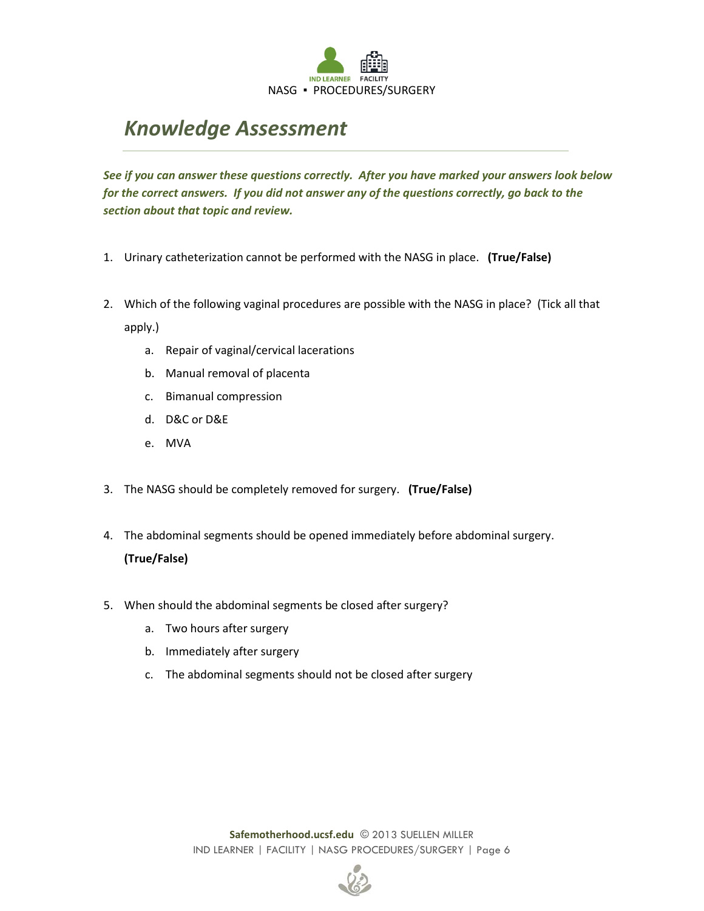

### *Knowledge Assessment*

*See if you can answer these questions correctly. After you have marked your answers look below for the correct answers. If you did not answer any of the questions correctly, go back to the section about that topic and review.*

- 1. Urinary catheterization cannot be performed with the NASG in place. **(True/False)**
- 2. Which of the following vaginal procedures are possible with the NASG in place? (Tick all that apply.)
	- a. Repair of vaginal/cervical lacerations
	- b. Manual removal of placenta
	- c. Bimanual compression
	- d. D&C or D&E
	- e. MVA
- 3. The NASG should be completely removed for surgery. **(True/False)**
- 4. The abdominal segments should be opened immediately before abdominal surgery. **(True/False)**
- 5. When should the abdominal segments be closed after surgery?
	- a. Two hours after surgery
	- b. Immediately after surgery
	- c. The abdominal segments should not be closed after surgery